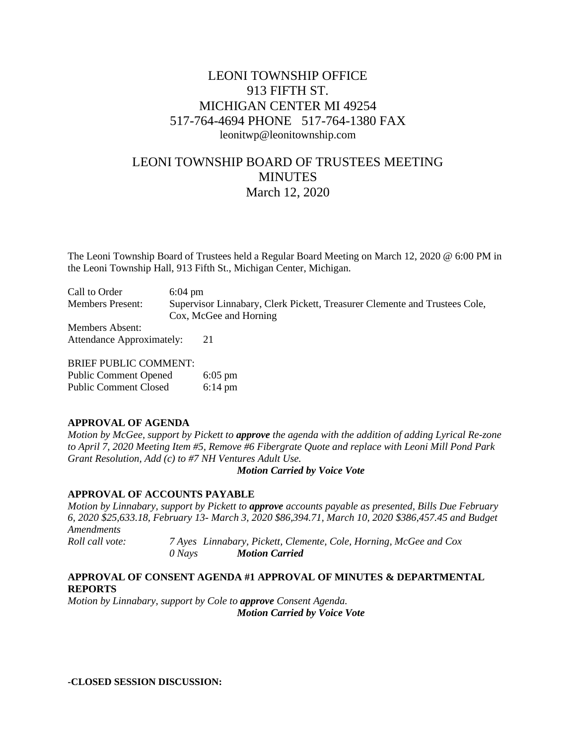# LEONI TOWNSHIP OFFICE 913 FIFTH ST. MICHIGAN CENTER MI 49254 517-764-4694 PHONE 517-764-1380 FAX leonitwp@leonitownship.com

# LEONI TOWNSHIP BOARD OF TRUSTEES MEETING **MINUTES** March 12, 2020

The Leoni Township Board of Trustees held a Regular Board Meeting on March 12, 2020 @ 6:00 PM in the Leoni Township Hall, 913 Fifth St., Michigan Center, Michigan.

Call to Order 6:04 pm Members Present: Supervisor Linnabary, Clerk Pickett, Treasurer Clemente and Trustees Cole, Cox, McGee and Horning Members Absent:

Attendance Approximately: 21

BRIEF PUBLIC COMMENT:

| <b>Public Comment Opened</b> | $6:05$ pm         |
|------------------------------|-------------------|
| <b>Public Comment Closed</b> | $6:14 \text{ pm}$ |

### **APPROVAL OF AGENDA**

*Motion by McGee, support by Pickett to approve the agenda with the addition of adding Lyrical Re-zone to April 7, 2020 Meeting Item #5, Remove #6 Fibergrate Quote and replace with Leoni Mill Pond Park Grant Resolution, Add (c) to #7 NH Ventures Adult Use.*

*Motion Carried by Voice Vote*

### **APPROVAL OF ACCOUNTS PAYABLE**

*Motion by Linnabary, support by Pickett to approve accounts payable as presented, Bills Due February 6, 2020 \$25,633.18, February 13- March 3, 2020 \$86,394.71, March 10, 2020 \$386,457.45 and Budget Amendments Roll call vote: 7 Ayes Linnabary, Pickett, Clemente, Cole, Horning, McGee and Cox 0 Nays Motion Carried*

## **APPROVAL OF CONSENT AGENDA #1 APPROVAL OF MINUTES & DEPARTMENTAL REPORTS**

*Motion by Linnabary, support by Cole to approve Consent Agenda. Motion Carried by Voice Vote*

**-CLOSED SESSION DISCUSSION:**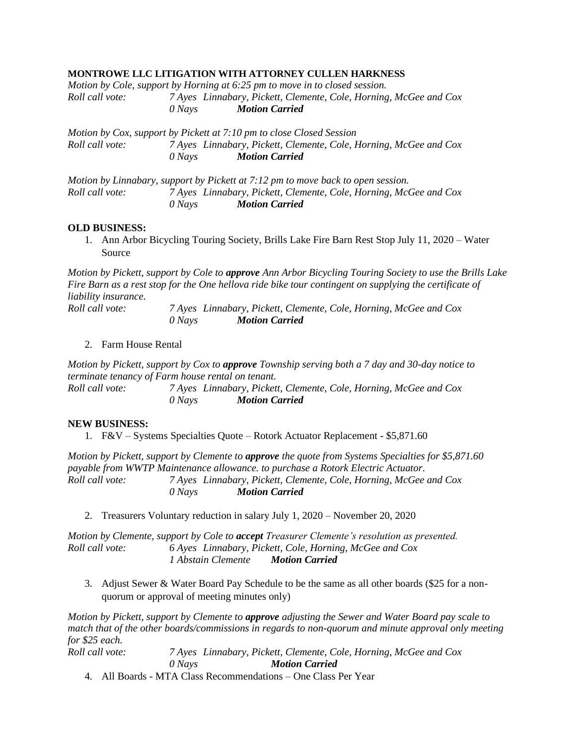#### **MONTROWE LLC LITIGATION WITH ATTORNEY CULLEN HARKNESS**

|                 |        | Motion by Cole, support by Horning at 6:25 pm to move in to closed session. |
|-----------------|--------|-----------------------------------------------------------------------------|
| Roll call vote: |        | 7 Ayes Linnabary, Pickett, Clemente, Cole, Horning, McGee and Cox           |
|                 | 0 Navs | <b>Motion Carried</b>                                                       |
|                 |        |                                                                             |

*Motion by Cox, support by Pickett at 7:10 pm to close Closed Session Roll call vote: 7 Ayes Linnabary, Pickett, Clemente, Cole, Horning, McGee and Cox 0 Nays Motion Carried*

*Motion by Linnabary, support by Pickett at 7:12 pm to move back to open session. Roll call vote: 7 Ayes Linnabary, Pickett, Clemente, Cole, Horning, McGee and Cox 0 Nays Motion Carried*

#### **OLD BUSINESS:**

1. Ann Arbor Bicycling Touring Society, Brills Lake Fire Barn Rest Stop July 11, 2020 – Water Source

*Motion by Pickett, support by Cole to approve Ann Arbor Bicycling Touring Society to use the Brills Lake Fire Barn as a rest stop for the One hellova ride bike tour contingent on supplying the certificate of liability insurance.*

*Roll call vote: 7 Ayes Linnabary, Pickett, Clemente, Cole, Horning, McGee and Cox 0 Nays Motion Carried*

#### 2. Farm House Rental

*Motion by Pickett, support by Cox to approve Township serving both a 7 day and 30-day notice to terminate tenancy of Farm house rental on tenant.*

*Roll call vote: 7 Ayes Linnabary, Pickett, Clemente, Cole, Horning, McGee and Cox 0 Nays Motion Carried*

### **NEW BUSINESS:**

1. F&V – Systems Specialties Quote – Rotork Actuator Replacement - \$5,871.60

*Motion by Pickett, support by Clemente to approve the quote from Systems Specialties for \$5,871.60 payable from WWTP Maintenance allowance. to purchase a Rotork Electric Actuator. Roll call vote: 7 Ayes Linnabary, Pickett, Clemente, Cole, Horning, McGee and Cox 0 Nays Motion Carried*

2. Treasurers Voluntary reduction in salary July 1, 2020 – November 20, 2020

*Motion by Clemente, support by Cole to accept Treasurer Clemente's resolution as presented. Roll call vote: 6 Ayes Linnabary, Pickett, Cole, Horning, McGee and Cox 1 Abstain Clemente Motion Carried*

3. Adjust Sewer & Water Board Pay Schedule to be the same as all other boards (\$25 for a nonquorum or approval of meeting minutes only)

*Motion by Pickett, support by Clemente to approve adjusting the Sewer and Water Board pay scale to match that of the other boards/commissions in regards to non-quorum and minute approval only meeting for \$25 each.*

*Roll call vote: 7 Ayes Linnabary, Pickett, Clemente, Cole, Horning, McGee and Cox 0 Nays Motion Carried*

4. All Boards - MTA Class Recommendations – One Class Per Year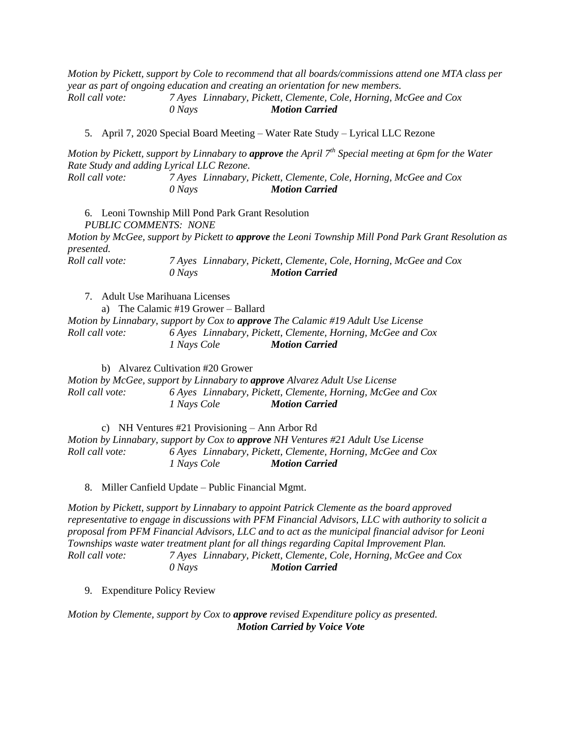*Motion by Pickett, support by Cole to recommend that all boards/commissions attend one MTA class per year as part of ongoing education and creating an orientation for new members. Roll call vote: 7 Ayes Linnabary, Pickett, Clemente, Cole, Horning, McGee and Cox*

*0 Nays Motion Carried*

5. April 7, 2020 Special Board Meeting – Water Rate Study – Lyrical LLC Rezone

*Motion by Pickett, support by Linnabary to approve the April 7th Special meeting at 6pm for the Water Rate Study and adding Lyrical LLC Rezone. Roll call vote: 7 Ayes Linnabary, Pickett, Clemente, Cole, Horning, McGee and Cox*

*0 Nays Motion Carried*

6. Leoni Township Mill Pond Park Grant Resolution *PUBLIC COMMENTS: NONE Motion by McGee, support by Pickett to approve the Leoni Township Mill Pond Park Grant Resolution as presented. Roll call vote: 7 Ayes Linnabary, Pickett, Clemente, Cole, Horning, McGee and Cox*

7. Adult Use Marihuana Licenses

a) The Calamic #19 Grower – Ballard *Motion by Linnabary, support by Cox to approve The Calamic #19 Adult Use License Roll call vote: 6 Ayes Linnabary, Pickett, Clemente, Horning, McGee and Cox 1 Nays Cole Motion Carried*

*0 Nays Motion Carried*

b) Alvarez Cultivation #20 Grower

*Motion by McGee, support by Linnabary to approve Alvarez Adult Use License Roll call vote: 6 Ayes Linnabary, Pickett, Clemente, Horning, McGee and Cox 1 Nays Cole Motion Carried*

c) NH Ventures #21 Provisioning – Ann Arbor Rd *Motion by Linnabary, support by Cox to approve NH Ventures #21 Adult Use License Roll call vote: 6 Ayes Linnabary, Pickett, Clemente, Horning, McGee and Cox 1 Nays Cole Motion Carried*

8. Miller Canfield Update – Public Financial Mgmt.

*Motion by Pickett, support by Linnabary to appoint Patrick Clemente as the board approved representative to engage in discussions with PFM Financial Advisors, LLC with authority to solicit a proposal from PFM Financial Advisors, LLC and to act as the municipal financial advisor for Leoni Townships waste water treatment plant for all things regarding Capital Improvement Plan. Roll call vote: 7 Ayes Linnabary, Pickett, Clemente, Cole, Horning, McGee and Cox 0 Nays Motion Carried*

9. Expenditure Policy Review

*Motion by Clemente, support by Cox to approve revised Expenditure policy as presented. Motion Carried by Voice Vote*